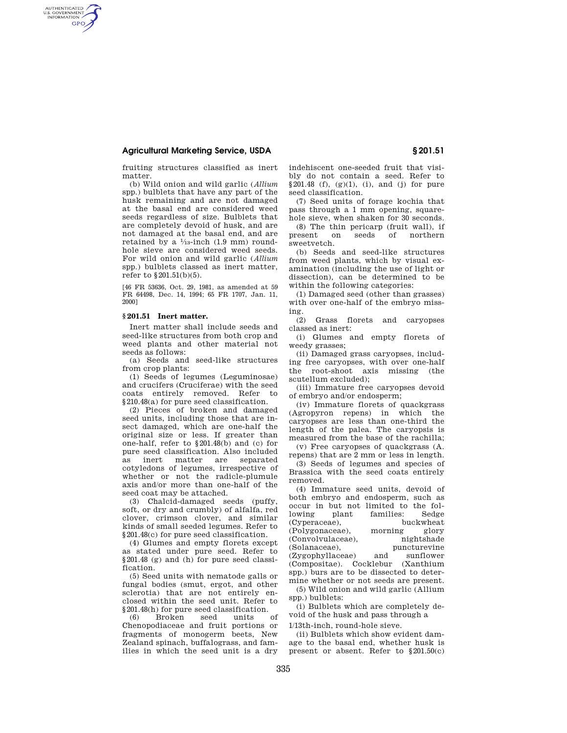## **Agricultural Marketing Service, USDA § 201.51**

AUTHENTICATED<br>U.S. GOVERNMENT<br>INFORMATION **GPO** 

> fruiting structures classified as inert matter.

(b) Wild onion and wild garlic (*Allium*  spp.) bulblets that have any part of the husk remaining and are not damaged at the basal end are considered weed seeds regardless of size. Bulblets that are completely devoid of husk, and are not damaged at the basal end, and are retained by a  $\frac{1}{3}$ -inch (1.9 mm) roundhole sieve are considered weed seeds. For wild onion and wild garlic (*Allium*  spp.) bulblets classed as inert matter, refer to §201.51(b)(5).

[46 FR 53636, Oct. 29, 1981, as amended at 59 FR 64498, Dec. 14, 1994; 65 FR 1707, Jan. 11, 2000]

## **§ 201.51 Inert matter.**

Inert matter shall include seeds and seed-like structures from both crop and weed plants and other material not seeds as follows:

(a) Seeds and seed-like structures from crop plants:

(1) Seeds of legumes (Leguminosae) and crucifers (Cruciferae) with the seed coats entirely removed. Refer to §210.48(a) for pure seed classification.

(2) Pieces of broken and damaged seed units, including those that are insect damaged, which are one-half the original size or less. If greater than one-half, refer to §201.48(b) and (c) for pure seed classification. Also included<br>as inert matter are separated as inert matter cotyledons of legumes, irrespective of whether or not the radicle-plumule axis and/or more than one-half of the seed coat may be attached.

(3) Chalcid-damaged seeds (puffy, soft, or dry and crumbly) of alfalfa, red clover, crimson clover, and similar kinds of small seeded legumes. Refer to §201.48(c) for pure seed classification.

(4) Glumes and empty florets except as stated under pure seed. Refer to §201.48 (g) and (h) for pure seed classification.

(5) Seed units with nematode galls or fungal bodies (smut, ergot, and other sclerotia) that are not entirely enclosed within the seed unit. Refer to

§201.48(h) for pure seed classification. (6) Broken seed units of Chenopodiaceae and fruit portions or fragments of monogerm beets, New Zealand spinach, buffalograss, and families in which the seed unit is a dry indehiscent one-seeded fruit that visibly do not contain a seed. Refer to  $§201.48$  (f), (g)(1), (i), and (j) for pure seed classification.

(7) Seed units of forage kochia that pass through a 1 mm opening, squarehole sieve, when shaken for 30 seconds.

(8) The thin pericarp (fruit wall), if present on seeds of northern sweetvetch.

(b) Seeds and seed-like structures from weed plants, which by visual examination (including the use of light or dissection), can be determined to be within the following categories:

(1) Damaged seed (other than grasses) with over one-half of the embryo missing.

(2) Grass florets and caryopses classed as inert:

(i) Glumes and empty florets of weedy grasses;

(ii) Damaged grass caryopses, including free caryopses, with over one-half the root-shoot axis missing (the scutellum excluded);

(iii) Immature free caryopses devoid of embryo and/or endosperm;

(iv) Immature florets of quackgrass (Agropyron repens) in which the caryopses are less than one-third the length of the palea. The caryopsis is measured from the base of the rachilla;

(v) Free caryopses of quackgrass (A. repens) that are 2 mm or less in length.

(3) Seeds of legumes and species of Brassica with the seed coats entirely removed.

(4) Immature seed units, devoid of both embryo and endosperm, such as occur in but not limited to the following plant families: Sedge (Cyperaceae), buckwheat (Polygonaceae), morning glory (Convolvulaceae), nightshade (Solanaceae), puncturevine (Zygophyllaceae) and sunflower (Compositae). Cocklebur (Xanthium spp.) burs are to be dissected to determine whether or not seeds are present. (5) Wild onion and wild garlic (Allium

spp.) bulblets: (i) Bulblets which are completely de-

void of the husk and pass through a 1/13th-inch, round-hole sieve.

(ii) Bulblets which show evident damage to the basal end, whether husk is present or absent. Refer to §201.50(c)